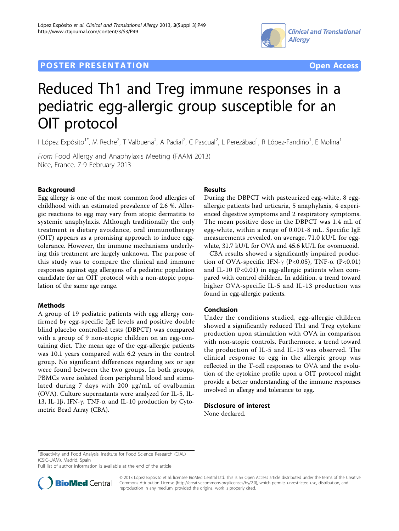## **POSTER PRESENTATION CONSUMING THE SERVICE SERVICE SERVICES COPEN ACCESS**





# Reduced Th1 and Treg immune responses in a pediatric egg-allergic group susceptible for an OIT protocol

I López Expósito<sup>1\*</sup>, M Reche<sup>2</sup>, T Valbuena<sup>2</sup>, A Padial<sup>2</sup>, C Pascual<sup>2</sup>, L Perezábad<sup>1</sup>, R López-Fandiño<sup>1</sup>, E Molina<sup>1</sup>

From Food Allergy and Anaphylaxis Meeting (FAAM 2013) Nice, France. 7-9 February 2013

## Background

Egg allergy is one of the most common food allergies of childhood with an estimated prevalence of 2.6 %. Allergic reactions to egg may vary from atopic dermatitis to systemic anaphylaxis. Although traditionally the only treatment is dietary avoidance, oral immunotherapy (OIT) appears as a promising approach to induce eggtolerance. However, the immune mechanisms underlying this treatment are largely unknown. The purpose of this study was to compare the clinical and immune responses against egg allergens of a pediatric population candidate for an OIT protocol with a non-atopic population of the same age range.

#### Methods

A group of 19 pediatric patients with egg allergy confirmed by egg-specific IgE levels and positive double blind placebo controlled tests (DBPCT) was compared with a group of 9 non-atopic children on an egg-containing diet. The mean age of the egg-allergic patients was 10.1 years compared with 6.2 years in the control group. No significant differences regarding sex or age were found between the two groups. In both groups, PBMCs were isolated from peripheral blood and stimulated during 7 days with 200 μg/mL of ovalbumin (OVA). Culture supernatants were analyzed for IL-5, IL-13, IL-1 $\beta$ , IFN- $\gamma$ , TNF- $\alpha$  and IL-10 production by Cytometric Bead Array (CBA).

## Results

During the DBPCT with pasteurized egg-white, 8 eggallergic patients had urticaria, 5 anaphylaxis, 4 experienced digestive symptoms and 2 respiratory symptoms. The mean positive dose in the DBPCT was 1.4 mL of egg-white, within a range of 0.001-8 mL. Specific IgE measurements revealed, on average, 71.0 kU/L for eggwhite, 31.7 kU/L for OVA and 45.6 kU/L for ovomucoid.

CBA results showed a significantly impaired production of OVA-specific IFN- $\gamma$  (P<0.05), TNF- $\alpha$  (P<0.01) and IL-10 ( $P<0.01$ ) in egg-allergic patients when compared with control children. In addition, a trend toward higher OVA-specific IL-5 and IL-13 production was found in egg-allergic patients.

## Conclusion

Under the conditions studied, egg-allergic children showed a significantly reduced Th1 and Treg cytokine production upon stimulation with OVA in comparison with non-atopic controls. Furthermore, a trend toward the production of IL-5 and IL-13 was observed. The clinical response to egg in the allergic group was reflected in the T-cell responses to OVA and the evolution of the cytokine profile upon a OIT protocol might provide a better understanding of the immune responses involved in allergy and tolerance to egg.

#### Disclosure of interest

None declared.

<sup>1</sup> Bioactivity and Food Analysis, Institute for Food Science Research (CIAL) (CSIC-UAM), Madrid, Spain

Full list of author information is available at the end of the article



© 2013 López Expósito et al; licensee BioMed Central Ltd. This is an Open Access article distributed under the terms of the Creative Commons Attribution License [\(http://creativecommons.org/licenses/by/2.0](http://creativecommons.org/licenses/by/2.0)), which permits unrestricted use, distribution, and reproduction in any medium, provided the original work is properly cited.